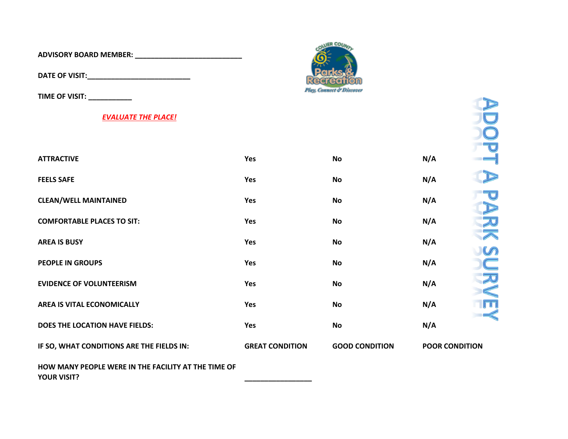**ADVISORY BOARD MEMBER: \_\_\_\_\_\_\_\_\_\_\_\_\_\_\_\_\_\_\_\_\_\_\_\_\_\_\_**

**DATE OF VISIT:\_\_\_\_\_\_\_\_\_\_\_\_\_\_\_\_\_\_\_\_\_\_\_\_\_\_**

**TIME OF VISIT: \_\_\_\_\_\_\_\_\_\_\_**

## *EVALUATE THE PLACE!*



| TIME OF VISIT: _                                                          |                        |                       |                                                |
|---------------------------------------------------------------------------|------------------------|-----------------------|------------------------------------------------|
| <b>EVALUATE THE PLACE!</b>                                                |                        |                       |                                                |
|                                                                           |                        |                       |                                                |
| <b>ATTRACTIVE</b>                                                         | Yes                    | <b>No</b>             | N/A                                            |
| <b>FEELS SAFE</b>                                                         | <b>Yes</b>             | <b>No</b>             | N/A                                            |
| <b>CLEAN/WELL MAINTAINED</b>                                              | Yes                    | <b>No</b>             | N/A<br>D                                       |
| <b>COMFORTABLE PLACES TO SIT:</b>                                         | Yes                    | <b>No</b>             | 灭<br>N/A                                       |
| <b>AREA IS BUSY</b>                                                       | Yes                    | <b>No</b>             | $\overline{\blacktriangle}$<br>N/A<br>$\omega$ |
| <b>PEOPLE IN GROUPS</b>                                                   | Yes                    | <b>No</b>             | C<br>N/A                                       |
| <b>EVIDENCE OF VOLUNTEERISM</b>                                           | Yes                    | <b>No</b>             | 20<br>N/A<br>$\leqslant$                       |
| <b>AREA IS VITAL ECONOMICALLY</b>                                         | Yes                    | <b>No</b>             | $\blacksquare$<br>N/A                          |
| DOES THE LOCATION HAVE FIELDS:                                            | Yes                    | <b>No</b>             | $\preccurlyeq$<br>N/A                          |
| IF SO, WHAT CONDITIONS ARE THE FIELDS IN:                                 | <b>GREAT CONDITION</b> | <b>GOOD CONDITION</b> | <b>POOR CONDITION</b>                          |
| HOW MANY PEOPLE WERE IN THE FACILITY AT THE TIME OF<br><b>YOUR VISIT?</b> |                        |                       |                                                |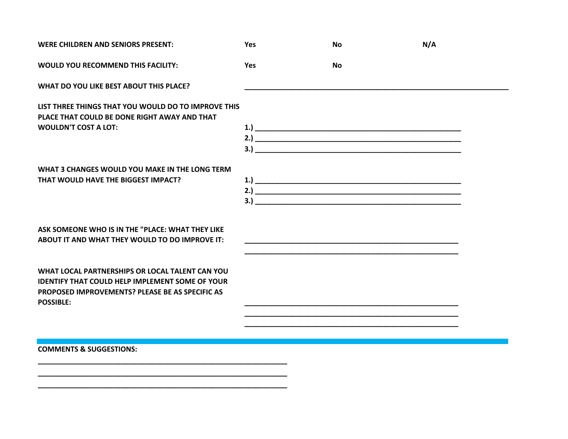| <b>WERE CHILDREN AND SENIORS PRESENT:</b>                                                                                                                                               | Yes        | No                                                                                                                  | N/A |  |
|-----------------------------------------------------------------------------------------------------------------------------------------------------------------------------------------|------------|---------------------------------------------------------------------------------------------------------------------|-----|--|
| WOULD YOU RECOMMEND THIS FACILITY:                                                                                                                                                      | <b>Yes</b> | <b>No</b>                                                                                                           |     |  |
| WHAT DO YOU LIKE BEST ABOUT THIS PLACE?                                                                                                                                                 |            |                                                                                                                     |     |  |
| LIST THREE THINGS THAT YOU WOULD DO TO IMPROVE THIS<br>PLACE THAT COULD BE DONE RIGHT AWAY AND THAT                                                                                     |            |                                                                                                                     |     |  |
| <b>WOULDN'T COST A LOT:</b>                                                                                                                                                             |            |                                                                                                                     |     |  |
| WHAT 3 CHANGES WOULD YOU MAKE IN THE LONG TERM                                                                                                                                          |            |                                                                                                                     |     |  |
| THAT WOULD HAVE THE BIGGEST IMPACT?                                                                                                                                                     |            |                                                                                                                     |     |  |
| ASK SOMEONE WHO IS IN THE "PLACE: WHAT THEY LIKE<br>ABOUT IT AND WHAT THEY WOULD TO DO IMPROVE IT:                                                                                      |            |                                                                                                                     |     |  |
| WHAT LOCAL PARTNERSHIPS OR LOCAL TALENT CAN YOU<br><b>IDENTIFY THAT COULD HELP IMPLEMENT SOME OF YOUR</b><br><b>PROPOSED IMPROVEMENTS? PLEASE BE AS SPECIFIC AS</b><br><b>POSSIBLE:</b> |            |                                                                                                                     |     |  |
|                                                                                                                                                                                         |            | <u> 1989 - Johann John Stoff, deutscher Stoffen und der Stoffen und der Stoffen und der Stoffen und der Stoffen</u> |     |  |
| <b>COMMENTS &amp; SUGGESTIONS:</b>                                                                                                                                                      |            |                                                                                                                     |     |  |
|                                                                                                                                                                                         |            |                                                                                                                     |     |  |

**\_\_\_\_\_\_\_\_\_\_\_\_\_\_\_\_\_\_\_\_\_\_\_\_\_\_\_\_\_\_\_\_\_\_\_\_\_\_\_\_\_\_\_\_\_\_\_\_\_\_\_\_\_\_\_\_\_\_\_\_\_\_\_**